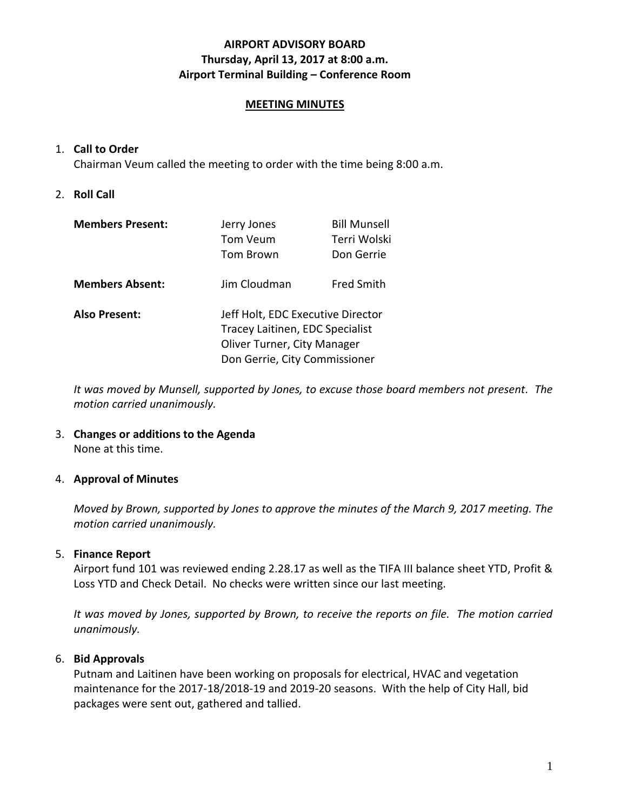# **AIRPORT ADVISORY BOARD Thursday, April 13, 2017 at 8:00 a.m. Airport Terminal Building – Conference Room**

# **MEETING MINUTES**

# 1. **Call to Order**

Chairman Veum called the meeting to order with the time being 8:00 a.m.

# 2. **Roll Call**

| <b>Members Present:</b> | Jerry Jones                                                                                         | <b>Bill Munsell</b> |  |
|-------------------------|-----------------------------------------------------------------------------------------------------|---------------------|--|
|                         | Tom Veum                                                                                            | Terri Wolski        |  |
|                         | Tom Brown                                                                                           | Don Gerrie          |  |
| <b>Members Absent:</b>  | Jim Cloudman                                                                                        | <b>Fred Smith</b>   |  |
| <b>Also Present:</b>    | Jeff Holt, EDC Executive Director<br>Tracey Laitinen, EDC Specialist<br>Oliver Turner, City Manager |                     |  |
|                         |                                                                                                     |                     |  |
|                         |                                                                                                     |                     |  |
|                         | Don Gerrie, City Commissioner                                                                       |                     |  |

*It was moved by Munsell, supported by Jones, to excuse those board members not present. The motion carried unanimously.*

#### 3. **Changes or additions to the Agenda** None at this time.

# 4. **Approval of Minutes**

*Moved by Brown, supported by Jones to approve the minutes of the March 9, 2017 meeting. The motion carried unanimously.*

# 5. **Finance Report**

Airport fund 101 was reviewed ending 2.28.17 as well as the TIFA III balance sheet YTD, Profit & Loss YTD and Check Detail. No checks were written since our last meeting.

*It was moved by Jones, supported by Brown, to receive the reports on file. The motion carried unanimously.*

# 6. **Bid Approvals**

Putnam and Laitinen have been working on proposals for electrical, HVAC and vegetation maintenance for the 2017-18/2018-19 and 2019-20 seasons. With the help of City Hall, bid packages were sent out, gathered and tallied.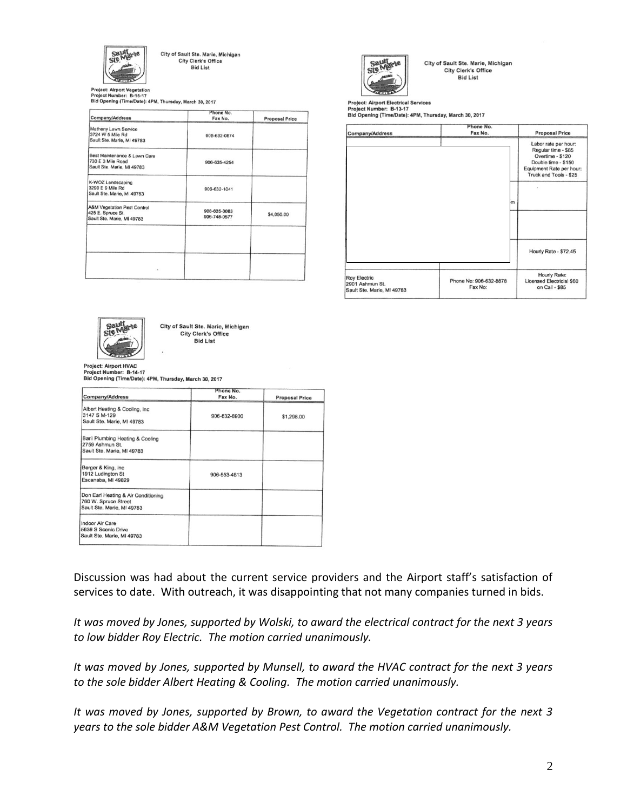

City of Sault Ste. Marie, Michigan City Clerk's Office **Bid List** 

Project: Airport Vegetation<br>Project Number: B-15-17<br>Bid Opening (Time/Date): 4PM, Thursday, March 30, 2017

| Company/Address                                                                           | Phone No.<br>Fax No.         | <b>Proposal Price</b> |
|-------------------------------------------------------------------------------------------|------------------------------|-----------------------|
| Matheny Lawn Service<br>3724 W 5 Mile Rd<br>Sault Ste. Marie, MI 49783                    | 906-632-0874                 |                       |
| Best Maintenance & Lawn Care<br>730 E 3 Mile Road<br>Sault Ste. Marie, MI 49783           | 906-635-4254<br>rie C        |                       |
| K-WOZ Landscaping<br>3290 E 9 Mile Rd<br>Sault Ste. Marie, MI 49783                       | 906-632-1041                 |                       |
| <b>A&amp;M Vegetation Pest Control</b><br>425 E. Spruce St.<br>Sault Ste. Marie, MI 49783 | 906-635-3083<br>906-748-0577 | \$4,050.00            |
|                                                                                           |                              |                       |
|                                                                                           |                              |                       |



City of Sault Ste. Marie, Michigan City Clerk's Office **Bid List** 

Project: Airport Electrical Services er: B-13-17 **Project Numb** Bid Opening (Time/Date): 4PM, Thursday, March 30, 2017

| Company/Address                                                      | Phone No.<br>Fax No.              | <b>Proposal Price</b>                                                                                                                        |
|----------------------------------------------------------------------|-----------------------------------|----------------------------------------------------------------------------------------------------------------------------------------------|
|                                                                      |                                   | Labor rate per hour:<br>Regular time - \$85<br>Overtime - \$120<br>Double time - \$150<br>Equipment Rate per hour:<br>Truck and Tools - \$25 |
|                                                                      | m                                 |                                                                                                                                              |
|                                                                      |                                   | Hourly Rate - \$72.45                                                                                                                        |
| <b>Roy Electric</b><br>2901 Ashmun St.<br>Sault Ste. Marie, MI 49783 | Phone No: 906-632-8878<br>Fax No: | Hourly Rate:<br>Licensed Electricial \$60<br>on Call - \$85                                                                                  |



City of Sault Ste. Marie, Michigan City Clerk's Office **Bid List** 

**Project: Airport HVAC** Project Number: B-14-17

Bid Opening (Time/Date): 4PM, Thursday, March 30, 2017

| Company/Address                                                                           | Phone No.<br>Fax No. | <b>Proposal Price</b> |
|-------------------------------------------------------------------------------------------|----------------------|-----------------------|
| Albert Heating & Cooling, Inc.<br>3147 S M-129<br>Sault Ste. Marie, MI 49783              | 906-632-6900         | \$1,298.00            |
| Baril Plumbing Heating & Cooling<br>2759 Ashmun St.<br>Sault Ste. Marie, MI 49783         |                      |                       |
| Berger & King, Inc.<br>1912 Ludington St<br>Escanaba, MI 49829                            | 906-553-4813         |                       |
| Don Earl Heating & Air Conditioning<br>760 W. Spruce Street<br>Sault Ste. Marie, MI 49783 |                      |                       |
| Indoor Air Care<br>5639 S Scenic Drive<br>Sault Ste. Marie, MI 49783                      |                      |                       |

Discussion was had about the current service providers and the Airport staff's satisfaction of services to date. With outreach, it was disappointing that not many companies turned in bids.

*It was moved by Jones, supported by Wolski, to award the electrical contract for the next 3 years to low bidder Roy Electric. The motion carried unanimously.*

*It was moved by Jones, supported by Munsell, to award the HVAC contract for the next 3 years to the sole bidder Albert Heating & Cooling. The motion carried unanimously.*

*It was moved by Jones, supported by Brown, to award the Vegetation contract for the next 3 years to the sole bidder A&M Vegetation Pest Control. The motion carried unanimously.*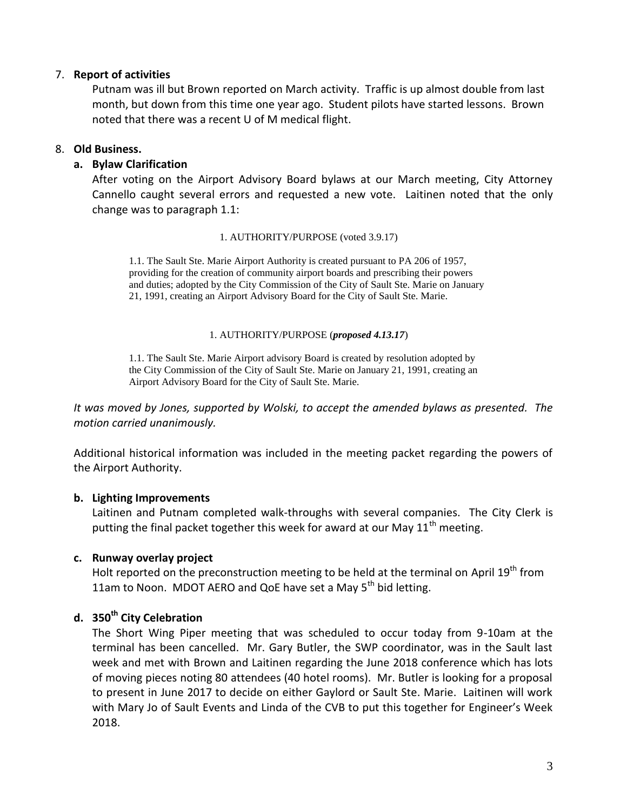# 7. **Report of activities**

Putnam was ill but Brown reported on March activity. Traffic is up almost double from last month, but down from this time one year ago. Student pilots have started lessons. Brown noted that there was a recent U of M medical flight.

# 8. **Old Business.**

# **a. Bylaw Clarification**

After voting on the Airport Advisory Board bylaws at our March meeting, City Attorney Cannello caught several errors and requested a new vote. Laitinen noted that the only change was to paragraph 1.1:

#### 1. AUTHORITY/PURPOSE (voted 3.9.17)

1.1. The Sault Ste. Marie Airport Authority is created pursuant to PA 206 of 1957, providing for the creation of community airport boards and prescribing their powers and duties; adopted by the City Commission of the City of Sault Ste. Marie on January 21, 1991, creating an Airport Advisory Board for the City of Sault Ste. Marie.

#### 1. AUTHORITY/PURPOSE (*proposed 4.13.17*)

1.1. The Sault Ste. Marie Airport advisory Board is created by resolution adopted by the City Commission of the City of Sault Ste. Marie on January 21, 1991, creating an Airport Advisory Board for the City of Sault Ste. Marie.

*It was moved by Jones, supported by Wolski, to accept the amended bylaws as presented. The motion carried unanimously.*

Additional historical information was included in the meeting packet regarding the powers of the Airport Authority.

# **b. Lighting Improvements**

Laitinen and Putnam completed walk-throughs with several companies. The City Clerk is putting the final packet together this week for award at our May  $11<sup>th</sup>$  meeting.

# **c. Runway overlay project**

Holt reported on the preconstruction meeting to be held at the terminal on April 19<sup>th</sup> from 11am to Noon. MDOT AERO and QoE have set a May 5<sup>th</sup> bid letting.

# **d. 350th City Celebration**

The Short Wing Piper meeting that was scheduled to occur today from 9-10am at the terminal has been cancelled. Mr. Gary Butler, the SWP coordinator, was in the Sault last week and met with Brown and Laitinen regarding the June 2018 conference which has lots of moving pieces noting 80 attendees (40 hotel rooms). Mr. Butler is looking for a proposal to present in June 2017 to decide on either Gaylord or Sault Ste. Marie. Laitinen will work with Mary Jo of Sault Events and Linda of the CVB to put this together for Engineer's Week 2018.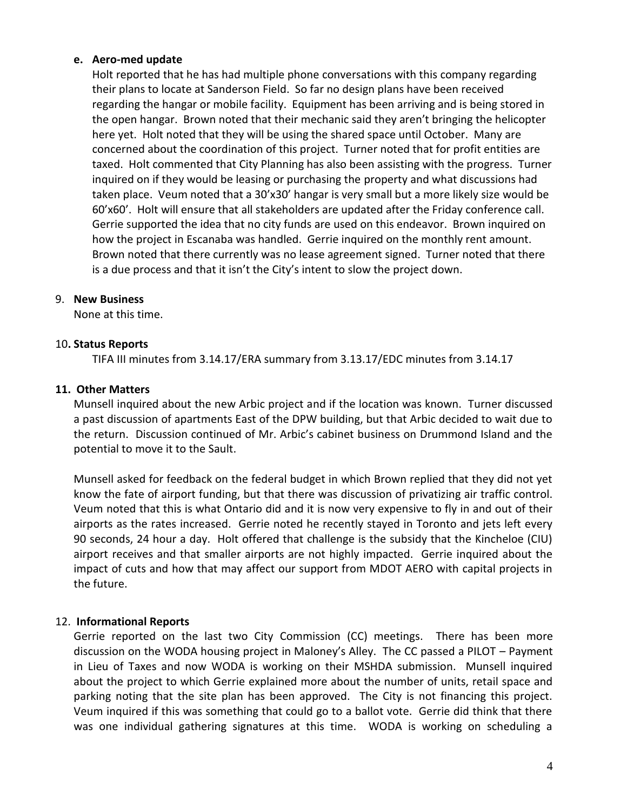## **e. Aero-med update**

Holt reported that he has had multiple phone conversations with this company regarding their plans to locate at Sanderson Field. So far no design plans have been received regarding the hangar or mobile facility. Equipment has been arriving and is being stored in the open hangar. Brown noted that their mechanic said they aren't bringing the helicopter here yet. Holt noted that they will be using the shared space until October. Many are concerned about the coordination of this project. Turner noted that for profit entities are taxed. Holt commented that City Planning has also been assisting with the progress. Turner inquired on if they would be leasing or purchasing the property and what discussions had taken place. Veum noted that a 30'x30' hangar is very small but a more likely size would be 60'x60'. Holt will ensure that all stakeholders are updated after the Friday conference call. Gerrie supported the idea that no city funds are used on this endeavor. Brown inquired on how the project in Escanaba was handled. Gerrie inquired on the monthly rent amount. Brown noted that there currently was no lease agreement signed. Turner noted that there is a due process and that it isn't the City's intent to slow the project down.

## 9. **New Business**

None at this time.

## 10**. Status Reports**

TIFA III minutes from 3.14.17/ERA summary from 3.13.17/EDC minutes from 3.14.17

## **11. Other Matters**

Munsell inquired about the new Arbic project and if the location was known. Turner discussed a past discussion of apartments East of the DPW building, but that Arbic decided to wait due to the return. Discussion continued of Mr. Arbic's cabinet business on Drummond Island and the potential to move it to the Sault.

Munsell asked for feedback on the federal budget in which Brown replied that they did not yet know the fate of airport funding, but that there was discussion of privatizing air traffic control. Veum noted that this is what Ontario did and it is now very expensive to fly in and out of their airports as the rates increased. Gerrie noted he recently stayed in Toronto and jets left every 90 seconds, 24 hour a day. Holt offered that challenge is the subsidy that the Kincheloe (CIU) airport receives and that smaller airports are not highly impacted. Gerrie inquired about the impact of cuts and how that may affect our support from MDOT AERO with capital projects in the future.

# 12. **Informational Reports**

Gerrie reported on the last two City Commission (CC) meetings. There has been more discussion on the WODA housing project in Maloney's Alley. The CC passed a PILOT – Payment in Lieu of Taxes and now WODA is working on their MSHDA submission. Munsell inquired about the project to which Gerrie explained more about the number of units, retail space and parking noting that the site plan has been approved. The City is not financing this project. Veum inquired if this was something that could go to a ballot vote. Gerrie did think that there was one individual gathering signatures at this time. WODA is working on scheduling a